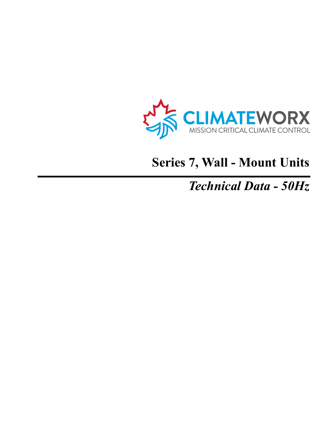

# **Series 7, Wall - Mount Units**

## *Technical Data - 50Hz*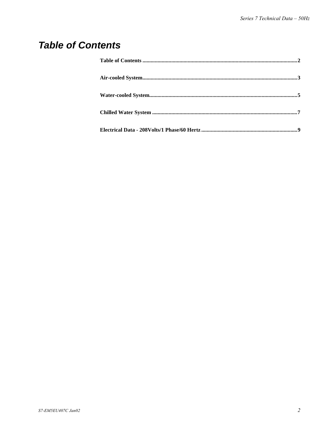#### **Table of Contents**

| ${\bf Water\text{-}cooled System.}\hspace{1mm} \\ {\bf System.}\hspace{1mm} \\ {\bf 5}$ |  |
|-----------------------------------------------------------------------------------------|--|
|                                                                                         |  |
|                                                                                         |  |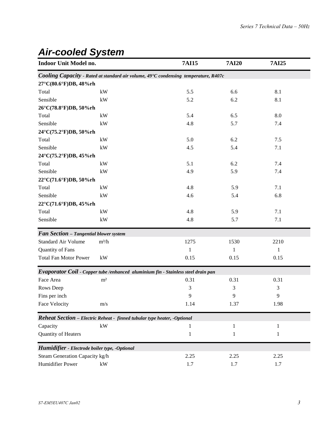#### *Air-cooled System*

| Indoor Unit Model no.                                                    |                        | <b>7AI15</b>                                                                        | <b>7AI20</b> | <b>7AI25</b> |  |
|--------------------------------------------------------------------------|------------------------|-------------------------------------------------------------------------------------|--------------|--------------|--|
|                                                                          |                        | Cooling Capacity - Rated at standard air volume, 49°C condensing temperature, R407c |              |              |  |
| 27°C(80.6°F)DB, 48%rh                                                    |                        |                                                                                     |              |              |  |
| Total                                                                    | kW                     | 5.5                                                                                 | 6.6          | 8.1          |  |
| Sensible                                                                 | kW                     | 5.2                                                                                 | 6.2          | 8.1          |  |
| 26°C(78.8°F)DB, 50%rh                                                    |                        |                                                                                     |              |              |  |
| Total                                                                    | $\mathbf{k}\mathbf{W}$ | 5.4                                                                                 | 6.5          | 8.0          |  |
| Sensible                                                                 | kW                     | 4.8                                                                                 | 5.7          | 7.4          |  |
| 24°C(75.2°F)DB, 50%rh                                                    |                        |                                                                                     |              |              |  |
| Total                                                                    | kW                     | 5.0                                                                                 | 6.2          | 7.5          |  |
| Sensible                                                                 | $\mathbf{k}\mathbf{W}$ | 4.5                                                                                 | 5.4          | 7.1          |  |
| 24°C(75.2°F)DB, 45%rh                                                    |                        |                                                                                     |              |              |  |
| Total                                                                    | kW                     | 5.1                                                                                 | 6.2          | 7.4          |  |
| Sensible                                                                 | kW                     | 4.9                                                                                 | 5.9          | 7.4          |  |
| 22°C(71.6°F)DB, 50%rh                                                    |                        |                                                                                     |              |              |  |
| Total                                                                    | $\mathbf{k}\mathbf{W}$ | 4.8                                                                                 | 5.9          | 7.1          |  |
| Sensible                                                                 | kW                     | 4.6                                                                                 | 5.4          | 6.8          |  |
| 22°C(71.6°F)DB, 45%rh                                                    |                        |                                                                                     |              |              |  |
| Total                                                                    | kW                     | 4.8                                                                                 | 5.9          | 7.1          |  |
| Sensible                                                                 | $\mathbf{k}\mathbf{W}$ | 4.8                                                                                 | 5.7          | 7.1          |  |
| Fan Section - Tangential blower system                                   |                        |                                                                                     |              |              |  |
| <b>Standard Air Volume</b>                                               | $m^3/h$                | 1275                                                                                | 1530         | 2210         |  |
| Quantity of Fans                                                         |                        | 1                                                                                   | 1            | $\mathbf{1}$ |  |
| <b>Total Fan Motor Power</b>                                             | kW                     | 0.15                                                                                | 0.15         | 0.15         |  |
|                                                                          |                        | Evaporator Coil - Copper tube /enhanced aluminium fin - Stainless steel drain pan   |              |              |  |
| Face Area                                                                | m <sup>2</sup>         | 0.31                                                                                | 0.31         | 0.31         |  |
| Rows Deep                                                                |                        | 3                                                                                   | 3            | 3            |  |
| Fins per inch                                                            |                        | 9                                                                                   | 9            | 9            |  |
| Face Velocity                                                            | m/s                    | 1.14                                                                                | 1.37         | 1.98         |  |
| Reheat Section - Electric Reheat - finned tubular type heater, -Optional |                        |                                                                                     |              |              |  |
| Capacity                                                                 | $\mathbf{k}\mathbf{W}$ | 1                                                                                   | $\mathbf{1}$ | $\mathbf{1}$ |  |
| <b>Quantity of Heaters</b>                                               |                        | $\mathbf{1}$                                                                        | 1            | 1            |  |
| Humidifier - Electrode boiler type, -Optional                            |                        |                                                                                     |              |              |  |
| Steam Generation Capacity kg/h                                           |                        | 2.25                                                                                | 2.25         | 2.25         |  |
| Humidifier Power                                                         | kW                     | 1.7                                                                                 | 1.7          | 1.7          |  |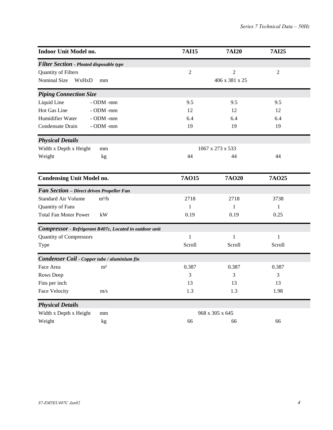| Indoor Unit Model no.                                   | <b>7AI15</b>   | <b>7AI20</b>     | <b>7AI25</b>   |  |  |
|---------------------------------------------------------|----------------|------------------|----------------|--|--|
| <b>Filter Section - Pleated disposable type</b>         |                |                  |                |  |  |
| Quantity of Filters                                     | $\overline{2}$ | $\overline{2}$   | $\overline{2}$ |  |  |
| Nominal Size<br>WxHxD<br>mm                             |                | 406 x 381 x 25   |                |  |  |
| <b>Piping Connection Size</b>                           |                |                  |                |  |  |
| Liquid Line<br>- ODM -mm                                | 9.5            | 9.5              | 9.5            |  |  |
| Hot Gas Line<br>$-$ ODM $-$ mm                          | 12             | 12               | 12             |  |  |
| Humidifier Water<br>- ODM -mm                           | 6.4            | 6.4              | 6.4            |  |  |
| Condensate Drain<br>- ODM -mm                           | 19             | 19               | 19             |  |  |
| <b>Physical Details</b>                                 |                |                  |                |  |  |
| Width x Depth x Height<br>mm                            |                | 1067 x 273 x 533 |                |  |  |
| Weight<br>kg                                            | 44             | 44               | 44             |  |  |
| <b>Condensing Unit Model no.</b>                        | <b>7AO15</b>   | <b>7AO20</b>     | <b>7AO25</b>   |  |  |
| Fan Section - Direct driven Propeller Fan               |                |                  |                |  |  |
| $m^3/h$<br><b>Standard Air Volume</b>                   | 2718           | 2718             | 3738           |  |  |
| Quantity of Fans                                        | 1              | 1                | $\mathbf{1}$   |  |  |
| <b>Total Fan Motor Power</b><br>kW                      | 0.19           | 0.19             | 0.25           |  |  |
| Compressor - Refrigerant R407c, Located in outdoor unit |                |                  |                |  |  |
| <b>Quantity of Compressors</b>                          | $\mathbf{1}$   | 1                | $\mathbf{1}$   |  |  |
| Type                                                    | Scroll         | Scroll           | Scroll         |  |  |
| Condenser Coil - Copper tube / aluminium fin            |                |                  |                |  |  |
| Face Area<br>m <sup>2</sup>                             | 0.387          | 0.387            | 0.387          |  |  |
| Rows Deep                                               | 3              | 3                | 3              |  |  |
| Fins per inch                                           | 13             | 13               | 13             |  |  |
| Face Velocity<br>m/s                                    | 1.3            | 1.3              | 1.98           |  |  |
| <b>Physical Details</b>                                 |                |                  |                |  |  |
| Width x Depth x Height<br>mm                            |                | 968 x 305 x 645  |                |  |  |
| Weight<br>kg                                            | 66             | 66               | 66             |  |  |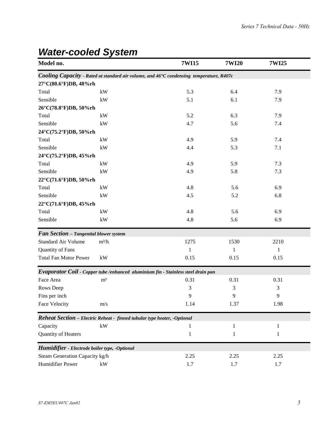| Model no.                                                                |                | 7WI15                                                                                   | <b>7WI20</b> | 7WI25 |
|--------------------------------------------------------------------------|----------------|-----------------------------------------------------------------------------------------|--------------|-------|
|                                                                          |                | Cooling Capacity - Rated at standard air volume, and 46°C condensing temperature, R407c |              |       |
| 27°C(80.6°F)DB, 48%rh                                                    |                |                                                                                         |              |       |
| Total                                                                    | kW             | 5.3                                                                                     | 6.4          | 7.9   |
| Sensible                                                                 | kW             | 5.1                                                                                     | 6.1          | 7.9   |
| 26°C(78.8°F)DB, 50%rh                                                    |                |                                                                                         |              |       |
| Total                                                                    | kW             | 5.2                                                                                     | 6.3          | 7.9   |
| Sensible                                                                 | kW             | 4.7                                                                                     | 5.6          | 7.4   |
| 24°C(75.2°F)DB, 50%rh                                                    |                |                                                                                         |              |       |
| Total                                                                    | kW             | 4.9                                                                                     | 5.9          | 7.4   |
| Sensible                                                                 | kW             | 4.4                                                                                     | 5.3          | 7.1   |
| 24°C(75.2°F)DB, 45%rh                                                    |                |                                                                                         |              |       |
| Total                                                                    | kW             | 4.9                                                                                     | 5.9          | 7.3   |
| Sensible                                                                 | kW             | 4.9                                                                                     | 5.8          | 7.3   |
| 22°C(71.6°F)DB, 50%rh                                                    |                |                                                                                         |              |       |
| Total                                                                    | kW             | 4.8                                                                                     | 5.6          | 6.9   |
| Sensible                                                                 | kW             | 4.5                                                                                     | 5.2          | 6.8   |
| 22°C(71.6°F)DB, 45%rh                                                    |                |                                                                                         |              |       |
| Total                                                                    | kW             | 4.8                                                                                     | 5.6          | 6.9   |
| Sensible                                                                 | kW             | 4.8                                                                                     | 5.6          | 6.9   |
| Fan Section - Tangential blower system                                   |                |                                                                                         |              |       |
| <b>Standard Air Volume</b>                                               | $m^3/h$        | 1275                                                                                    | 1530         | 2210  |
| Quantity of Fans                                                         |                | 1                                                                                       | 1            | 1     |
| <b>Total Fan Motor Power</b>                                             | kW             | 0.15                                                                                    | 0.15         | 0.15  |
|                                                                          |                | Evaporator Coil - Copper tube /enhanced aluminium fin - Stainless steel drain pan       |              |       |
| Face Area                                                                | m <sup>2</sup> | 0.31                                                                                    | 0.31         | 0.31  |
| Rows Deep                                                                |                | 3                                                                                       | 3            | 3     |
| Fins per inch                                                            |                | 9                                                                                       | 9            | 9     |
| Face Velocity                                                            | m/s            | 1.14                                                                                    | 1.37         | 1.98  |
| Reheat Section - Electric Reheat - finned tubular type heater, -Optional |                |                                                                                         |              |       |
| Capacity                                                                 | kW             | 1                                                                                       | 1            | 1     |
| Quantity of Heaters                                                      |                | $\mathbf{1}$                                                                            | 1            | 1     |
| Humidifier - Electrode boiler type, -Optional                            |                |                                                                                         |              |       |
| Steam Generation Capacity kg/h                                           |                | 2.25                                                                                    | 2.25         | 2.25  |
| Humidifier Power                                                         | kW             | 1.7                                                                                     | 1.7          | 1.7   |

## *Water-cooled System*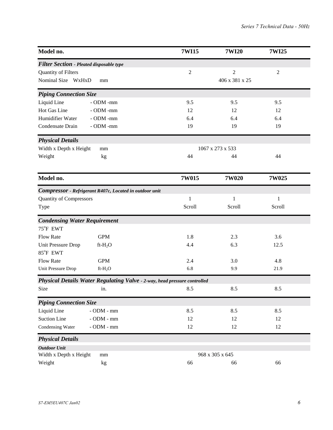| Model no.                                               |                                                                           | 7WI15<br><b>7WI20</b>            | 7WI25          |
|---------------------------------------------------------|---------------------------------------------------------------------------|----------------------------------|----------------|
| <b>Filter Section - Pleated disposable type</b>         |                                                                           |                                  |                |
| Quantity of Filters                                     |                                                                           | $\overline{2}$<br>$\overline{2}$ | $\mathfrak{2}$ |
| Nominal Size WxHxD<br>mm                                |                                                                           | 406 x 381 x 25                   |                |
| <b>Piping Connection Size</b>                           |                                                                           |                                  |                |
| Liquid Line<br>- ODM -mm                                |                                                                           | 9.5<br>9.5                       | 9.5            |
| Hot Gas Line<br>- ODM -mm                               |                                                                           | 12<br>12                         | 12             |
| Humidifier Water<br>- ODM -mm                           |                                                                           | 6.4<br>6.4                       | 6.4            |
| Condensate Drain<br>- ODM -mm                           |                                                                           | 19<br>19                         | 19             |
| <b>Physical Details</b>                                 |                                                                           |                                  |                |
| Width x Depth x Height<br>mm                            |                                                                           | 1067 x 273 x 533                 |                |
| Weight<br>kg                                            |                                                                           | 44<br>44                         | 44             |
| Model no.                                               |                                                                           | 7W015<br>7W020                   | 7W025          |
| Compressor - Refrigerant R407c, Located in outdoor unit |                                                                           |                                  |                |
| <b>Quantity of Compressors</b>                          |                                                                           | 1<br>1                           | 1              |
| Type                                                    |                                                                           | Scroll<br>Scroll                 | Scroll         |
| <b>Condensing Water Requirement</b>                     |                                                                           |                                  |                |
| 75°F EWT                                                |                                                                           |                                  |                |
| <b>Flow Rate</b><br><b>GPM</b>                          |                                                                           | 1.8<br>2.3                       | 3.6            |
| Unit Pressure Drop<br>$ft-H_2O$                         |                                                                           | 6.3<br>4.4                       | 12.5           |
| 85°F EWT                                                |                                                                           |                                  |                |
| <b>Flow Rate</b><br><b>GPM</b>                          |                                                                           | 2.4<br>3.0                       | 4.8            |
| Unit Pressure Drop<br>$ft-H_2O$                         |                                                                           | 6.8<br>9.9                       | 21.9           |
|                                                         | Physical Details Water Regulating Valve - 2-way, head pressure controlled |                                  |                |
| Size<br>in.                                             |                                                                           | 8.5<br>8.5                       | 8.5            |
| <b>Piping Connection Size</b>                           |                                                                           |                                  |                |
| Liquid Line<br>$-$ ODM $-$ mm                           |                                                                           | 8.5<br>8.5                       | 8.5            |
| <b>Suction Line</b><br>$-$ ODM $-$ mm                   |                                                                           | 12<br>12                         | 12             |
| - ODM - $\operatorname{mm}$<br>Condensing Water         |                                                                           | 12<br>12                         | 12             |
| <b>Physical Details</b>                                 |                                                                           |                                  |                |
| <b>Outdoor Unit</b>                                     |                                                                           |                                  |                |
| Width x Depth x Height<br>mm                            |                                                                           | 968 x 305 x 645                  |                |
| Weight<br>kg                                            |                                                                           | 66<br>66                         | 66             |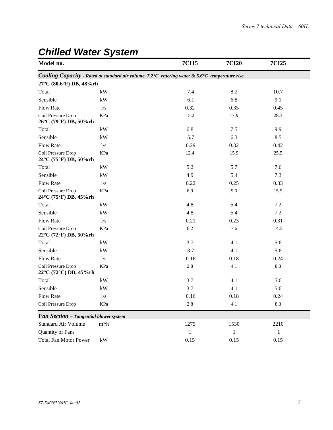| Model no.                                   |                                                                                                | <b>7CI15</b> | <b>7CI20</b> | <b>7CI25</b> |  |  |  |  |  |  |
|---------------------------------------------|------------------------------------------------------------------------------------------------|--------------|--------------|--------------|--|--|--|--|--|--|
|                                             | Cooling Capacity - Rated at standard air volume, 7.2°C entering water & 5.6°C temperature rise |              |              |              |  |  |  |  |  |  |
| 27°C (80.6°F) DB, 48%rh                     |                                                                                                |              |              |              |  |  |  |  |  |  |
| Total                                       | kW                                                                                             | 7.4          | 8.2          | 10.7         |  |  |  |  |  |  |
| Sensible                                    | kW                                                                                             | 6.1          | 6.8          | 9.1          |  |  |  |  |  |  |
| <b>Flow Rate</b>                            | 1/s                                                                                            | 0.32         | 0.35         | 0.45         |  |  |  |  |  |  |
| Coil Pressure Drop<br>26°C (79°F) DB, 50%rh | KPa                                                                                            | 15.2         | 17.9         | 28.3         |  |  |  |  |  |  |
| Total                                       | kW                                                                                             | 6.8          | 7.5          | 9.9          |  |  |  |  |  |  |
| Sensible                                    | kW                                                                                             | 5.7          | 6.3          | 8.5          |  |  |  |  |  |  |
| <b>Flow Rate</b>                            | 1/s                                                                                            | 0.29         | 0.32         | 0.42         |  |  |  |  |  |  |
| Coil Pressure Drop<br>24°C (75°F) DB, 50%rh | KPa                                                                                            | 12.4         | 15.9         | 25.5         |  |  |  |  |  |  |
| Total                                       | $\mathbf{k}\mathbf{W}$                                                                         | 5.2          | 5.7          | 7.6          |  |  |  |  |  |  |
| Sensible                                    | kW                                                                                             | 4.9          | 5.4          | 7.3          |  |  |  |  |  |  |
| <b>Flow Rate</b>                            | 1/s                                                                                            | 0.22         | 0.25         | 0.33         |  |  |  |  |  |  |
| Coil Pressure Drop<br>24°C (75°F) DB, 45%rh | KPa                                                                                            | 6.9          | 9.0          | 15.9         |  |  |  |  |  |  |
| Total                                       | $\mathbf{k}\mathbf{W}$                                                                         | 4.8          | 5.4          | 7.2          |  |  |  |  |  |  |
| Sensible                                    | kW                                                                                             | 4.8          | 5.4          | 7.2          |  |  |  |  |  |  |
| Flow Rate                                   | 1/s                                                                                            | 0.21         | 0.23         | 0.31         |  |  |  |  |  |  |
| Coil Pressure Drop<br>22°C (72°F) DB, 50%rh | KPa                                                                                            | 6.2          | 7.6          | 14.5         |  |  |  |  |  |  |
| Total                                       | kW                                                                                             | 3.7          | 4.1          | 5.6          |  |  |  |  |  |  |
| Sensible                                    | kW                                                                                             | 3.7          | 4.1          | 5.6          |  |  |  |  |  |  |
| Flow Rate                                   | 1/s                                                                                            | 0.16         | 0.18         | 0.24         |  |  |  |  |  |  |
| Coil Pressure Drop<br>22°C (72°C) DB, 45%rh | KPa                                                                                            | 2.8          | 4.1          | 8.3          |  |  |  |  |  |  |
| Total                                       | $\mathbf{k}\mathbf{W}$                                                                         | 3.7          | 4.1          | 5.6          |  |  |  |  |  |  |
| Sensible                                    | kW                                                                                             | 3.7          | 4.1          | 5.6          |  |  |  |  |  |  |
| <b>Flow Rate</b>                            | 1/s                                                                                            | 0.16         | 0.18         | 0.24         |  |  |  |  |  |  |
| Coil Pressure Drop                          | KPa                                                                                            | 2.8          | 4.1          | 8.3          |  |  |  |  |  |  |
| Fan Section - Tangential blower system      |                                                                                                |              |              |              |  |  |  |  |  |  |
| Standard Air Volume                         | $m^3/h$                                                                                        | 1275         | 1530         | 2210         |  |  |  |  |  |  |
| Quantity of Fans                            |                                                                                                | $\mathbf{1}$ | 1            | $\mathbf{1}$ |  |  |  |  |  |  |
| <b>Total Fan Motor Power</b>                | kW                                                                                             | 0.15         | 0.15         | 0.15         |  |  |  |  |  |  |

## *Chilled Water System*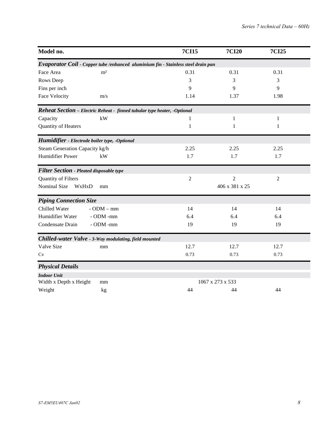| Model no.                                                                         | <b>7CI15</b>   | <b>7CI20</b>     | <b>7CI25</b>   |
|-----------------------------------------------------------------------------------|----------------|------------------|----------------|
| Evaporator Coil - Copper tube /enhanced aluminium fin - Stainless steel drain pan |                |                  |                |
| m <sup>2</sup><br>Face Area                                                       | 0.31           | 0.31             | 0.31           |
| Rows Deep                                                                         | 3              | 3                | 3              |
| Fins per inch                                                                     | 9              | 9                | 9              |
| <b>Face Velocity</b><br>m/s                                                       | 1.14           | 1.37             | 1.98           |
| Reheat Section - Electric Reheat - finned tubular type heater, -Optional          |                |                  |                |
| kW<br>Capacity                                                                    | 1              | 1                | 1              |
| Quantity of Heaters                                                               | 1              | 1                | 1              |
| Humidifier - Electrode boiler type, -Optional                                     |                |                  |                |
| Steam Generation Capacity kg/h                                                    | 2.25           | 2.25             | 2.25           |
| <b>Humidifier Power</b><br>kW                                                     | 1.7            | 1.7              | 1.7            |
| <b>Filter Section - Pleated disposable type</b>                                   |                |                  |                |
| Quantity of Filters                                                               | $\overline{2}$ | $\overline{c}$   | $\overline{2}$ |
| Nominal Size<br>WxHxD<br>mm                                                       |                | 406 x 381 x 25   |                |
| <b>Piping Connection Size</b>                                                     |                |                  |                |
| Chilled Water<br>$-$ ODM $-$ mm                                                   | 14             | 14               | 14             |
| Humidifier Water<br>- ODM -mm                                                     | 6.4            | 6.4              | 6.4            |
| Condensate Drain<br>- ODM -mm                                                     | 19             | 19               | 19             |
| Chilled-water Valve - 3-Way modulating, field mounted                             |                |                  |                |
| Valve Size<br>mm                                                                  | 12.7           | 12.7             | 12.7           |
| Cv                                                                                | 0.73           | 0.73             | 0.73           |
| <b>Physical Details</b>                                                           |                |                  |                |
| <b>Indoor Unit</b><br>Width x Depth x Height                                      |                | 1067 x 273 x 533 |                |
| mm                                                                                |                |                  |                |
| Weight<br>kg                                                                      | 44             | 44               | 44             |